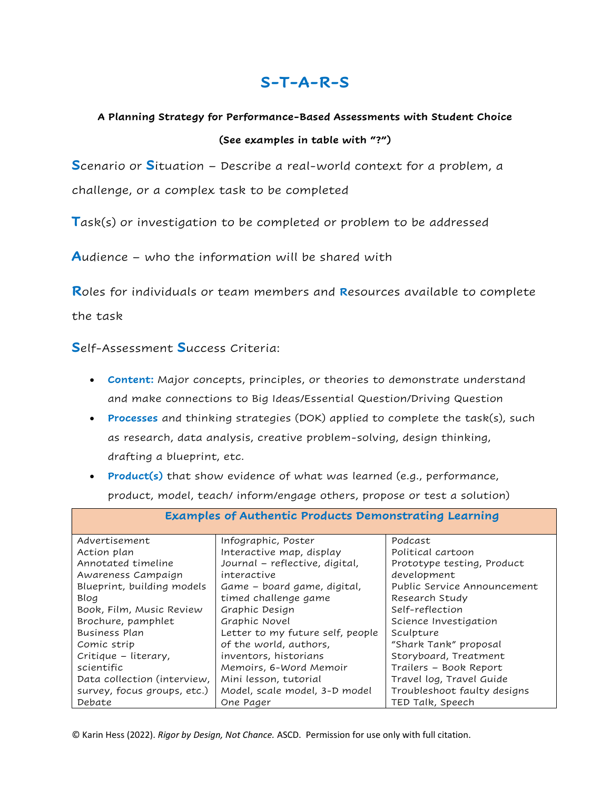## S-T-A-R-S

## A Planning Strategy for Performance-Based Assessments with Student Choice (See examples in table with "?")

Scenario or Situation - Describe a real-world context for a problem, a

challenge, or a complex task to be completed

Task(s) or investigation to be completed or problem to be addressed

Audience – who the information will be shared with

Roles for individuals or team members and Resources available to complete

the task

## Self-Assessment Success Criteria:

- Content: Major concepts, principles, or theories to demonstrate understand and make connections to Big Ideas/Essential Question/Driving Question
- Processes and thinking strategies (DOK) applied to complete the task(s), such as research, data analysis, creative problem-solving, design thinking, drafting a blueprint, etc.
- Product(s) that show evidence of what was learned (e.g., performance, product, model, teach/ inform/engage others, propose or test a solution)

| <b>Examples of Authentic Products Demonstrating Learning</b> |                                  |                             |  |  |  |  |  |
|--------------------------------------------------------------|----------------------------------|-----------------------------|--|--|--|--|--|
| Advertisement                                                | Infographic, Poster              | Podcast                     |  |  |  |  |  |
| Action plan                                                  | Interactive map, display         | Political cartoon           |  |  |  |  |  |
| Annotated timeline                                           | Journal - reflective, digital,   | Prototype testing, Product  |  |  |  |  |  |
| Awareness Campaign                                           | interactive                      | development                 |  |  |  |  |  |
| Blueprint, building models                                   | Game – board game, digital,      | Public Service Announcement |  |  |  |  |  |
| Blog                                                         | timed challenge game             | Research Study              |  |  |  |  |  |
| Book, Film, Music Review                                     | Graphic Design                   | Self-reflection             |  |  |  |  |  |
| Brochure, pamphlet                                           | Graphic Novel                    | Science Investigation       |  |  |  |  |  |
| Business Plan                                                | Letter to my future self, people | Sculpture                   |  |  |  |  |  |
| Comic strip                                                  | of the world, authors,           | "Shark Tank" proposal       |  |  |  |  |  |
| Critique - literary,                                         | inventors, historians            | Storyboard, Treatment       |  |  |  |  |  |
| scientific                                                   | Memoirs, 6-Word Memoir           | Trailers - Book Report      |  |  |  |  |  |
| Data collection (interview,                                  | Mini lesson, tutorial            | Travel log, Travel Guide    |  |  |  |  |  |
| survey, focus groups, etc.)                                  | Model, scale model, 3-D model    | Troubleshoot faulty designs |  |  |  |  |  |
| Debate                                                       | One Pager                        | TED Talk, Speech            |  |  |  |  |  |

© Karin Hess (2022). Rigor by Design, Not Chance. ASCD. Permission for use only with full citation.